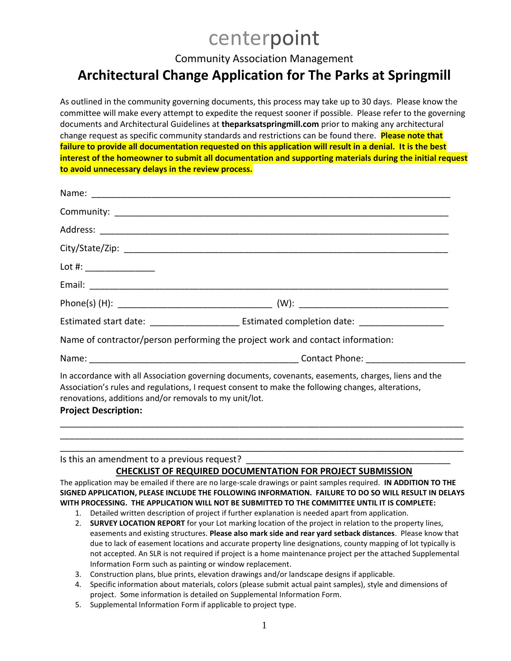# centerpoint

Community Association Management

# **Architectural Change Application for The Parks at Springmill**

As outlined in the community governing documents, this process may take up to 30 days. Please know the committee will make every attempt to expedite the request sooner if possible. Please refer to the governing documents and Architectural Guidelines at **theparksatspringmill.com** prior to making any architectural change request as specific community standards and restrictions can be found there. **Please note that failure to provide all documentation requested on this application will result in a denial. It is the best interest of the homeowner to submit all documentation and supporting materials during the initial request to avoid unnecessary delays in the review process.**

| Name of contractor/person performing the project work and contact information:        |                                                                                                                                                                                                            |
|---------------------------------------------------------------------------------------|------------------------------------------------------------------------------------------------------------------------------------------------------------------------------------------------------------|
|                                                                                       |                                                                                                                                                                                                            |
| renovations, additions and/or removals to my unit/lot.<br><b>Project Description:</b> | In accordance with all Association governing documents, covenants, easements, charges, liens and the<br>Association's rules and regulations, I request consent to make the following changes, alterations, |

Is this an amendment to a previous request?

#### **CHECKLIST OF REQUIRED DOCUMENTATION FOR PROJECT SUBMISSION**

\_\_\_\_\_\_\_\_\_\_\_\_\_\_\_\_\_\_\_\_\_\_\_\_\_\_\_\_\_\_\_\_\_\_\_\_\_\_\_\_\_\_\_\_\_\_\_\_\_\_\_\_\_\_\_\_\_\_\_\_\_\_\_\_\_\_\_\_\_\_\_\_\_\_\_\_\_\_\_\_\_ \_\_\_\_\_\_\_\_\_\_\_\_\_\_\_\_\_\_\_\_\_\_\_\_\_\_\_\_\_\_\_\_\_\_\_\_\_\_\_\_\_\_\_\_\_\_\_\_\_\_\_\_\_\_\_\_\_\_\_\_\_\_\_\_\_\_\_\_\_\_\_\_\_\_\_\_\_\_\_\_\_

The application may be emailed if there are no large-scale drawings or paint samples required. **IN ADDITION TO THE SIGNED APPLICATION, PLEASE INCLUDE THE FOLLOWING INFORMATION. FAILURE TO DO SO WILL RESULT IN DELAYS WITH PROCESSING. THE APPLICATION WILL NOT BE SUBMITTED TO THE COMMITTEE UNTIL IT IS COMPLETE:**

- 1. Detailed written description of project if further explanation is needed apart from application.
- 2. **SURVEY LOCATION REPORT** for your Lot marking location of the project in relation to the property lines, easements and existing structures. **Please also mark side and rear yard setback distances**. Please know that due to lack of easement locations and accurate property line designations, county mapping of lot typically is not accepted. An SLR is not required if project is a home maintenance project per the attached Supplemental Information Form such as painting or window replacement.
- 3. Construction plans, blue prints, elevation drawings and/or landscape designs if applicable.
- 4. Specific information about materials, colors (please submit actual paint samples), style and dimensions of project. Some information is detailed on Supplemental Information Form.
- 5. Supplemental Information Form if applicable to project type.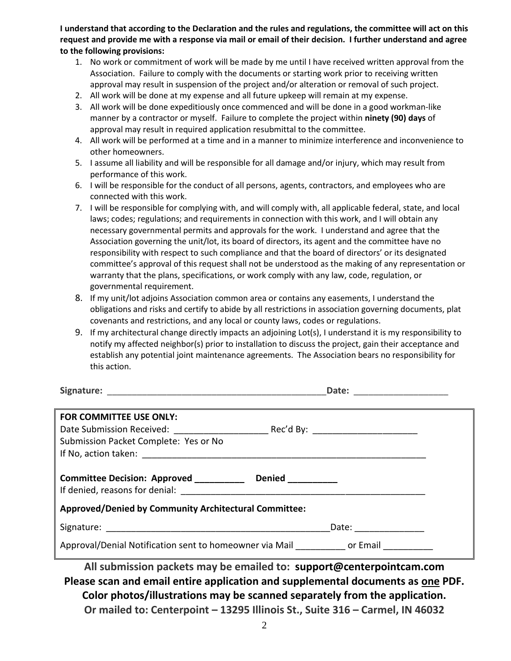**I understand that according to the Declaration and the rules and regulations, the committee will act on this request and provide me with a response via mail or email of their decision. I further understand and agree to the following provisions:**

- 1. No work or commitment of work will be made by me until I have received written approval from the Association. Failure to comply with the documents or starting work prior to receiving written approval may result in suspension of the project and/or alteration or removal of such project.
- 2. All work will be done at my expense and all future upkeep will remain at my expense.
- 3. All work will be done expeditiously once commenced and will be done in a good workman-like manner by a contractor or myself. Failure to complete the project within **ninety (90) days** of approval may result in required application resubmittal to the committee.
- 4. All work will be performed at a time and in a manner to minimize interference and inconvenience to other homeowners.
- 5. I assume all liability and will be responsible for all damage and/or injury, which may result from performance of this work.
- 6. I will be responsible for the conduct of all persons, agents, contractors, and employees who are connected with this work.
- 7. I will be responsible for complying with, and will comply with, all applicable federal, state, and local laws; codes; regulations; and requirements in connection with this work, and I will obtain any necessary governmental permits and approvals for the work. I understand and agree that the Association governing the unit/lot, its board of directors, its agent and the committee have no responsibility with respect to such compliance and that the board of directors' or its designated committee's approval of this request shall not be understood as the making of any representation or warranty that the plans, specifications, or work comply with any law, code, regulation, or governmental requirement.
- 8. If my unit/lot adjoins Association common area or contains any easements, I understand the obligations and risks and certify to abide by all restrictions in association governing documents, plat covenants and restrictions, and any local or county laws, codes or regulations.
- 9. If my architectural change directly impacts an adjoining Lot(s), I understand it is my responsibility to notify my affected neighbor(s) prior to installation to discuss the project, gain their acceptance and establish any potential joint maintenance agreements. The Association bears no responsibility for this action.

| Signature: | vate. |  |
|------------|-------|--|
|            |       |  |

| FOR COMMITTEE USE ONLY:                                                                                                                                   |                   |  |
|-----------------------------------------------------------------------------------------------------------------------------------------------------------|-------------------|--|
|                                                                                                                                                           |                   |  |
| Submission Packet Complete: Yes or No                                                                                                                     |                   |  |
|                                                                                                                                                           |                   |  |
|                                                                                                                                                           |                   |  |
| Committee Decision: Approved __________<br>If denied, reasons for denial: The Contract of the Contract of the United States of the United States of the U | Denied __________ |  |
| <b>Approved/Denied by Community Architectural Committee:</b>                                                                                              |                   |  |
|                                                                                                                                                           | Date: __________  |  |
| Approval/Denial Notification sent to homeowner via Mail <b>Same Constant Constant</b> or Email                                                            |                   |  |

**All submission packets may be emailed to: [support@centerpointcam.com](mailto:support@centerpointcam.com) Please scan and email entire application and supplemental documents as one PDF. Color photos/illustrations may be scanned separately from the application. Or mailed to: Centerpoint – 13295 Illinois St., Suite 316 – Carmel, IN 46032**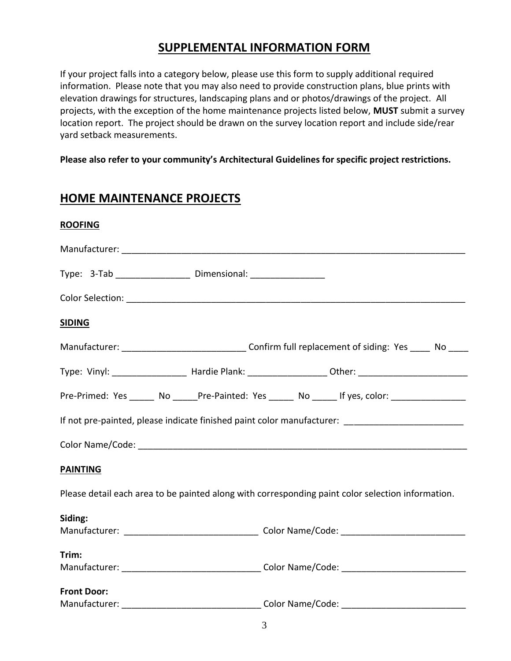### **SUPPLEMENTAL INFORMATION FORM**

If your project falls into a category below, please use this form to supply additional required information. Please note that you may also need to provide construction plans, blue prints with elevation drawings for structures, landscaping plans and or photos/drawings of the project. All projects, with the exception of the home maintenance projects listed below, **MUST** submit a survey location report. The project should be drawn on the survey location report and include side/rear yard setback measurements.

**Please also refer to your community's Architectural Guidelines for specific project restrictions.**

### **HOME MAINTENANCE PROJECTS**

| Type: 3-Tab _______________________ Dimensional: _______________________________                      |  |  |  |
|-------------------------------------------------------------------------------------------------------|--|--|--|
| Color Selection: <u>Color Selection</u>                                                               |  |  |  |
|                                                                                                       |  |  |  |
| Manufacturer: __________________________________Confirm full replacement of siding: Yes _____ No ____ |  |  |  |
|                                                                                                       |  |  |  |
| Pre-Primed: Yes _____ No _____Pre-Painted: Yes _____ No _____ If yes, color: ________________         |  |  |  |
| If not pre-painted, please indicate finished paint color manufacturer: ____________________________   |  |  |  |
|                                                                                                       |  |  |  |
|                                                                                                       |  |  |  |
| Please detail each area to be painted along with corresponding paint color selection information.     |  |  |  |
|                                                                                                       |  |  |  |
|                                                                                                       |  |  |  |
|                                                                                                       |  |  |  |
|                                                                                                       |  |  |  |
|                                                                                                       |  |  |  |
|                                                                                                       |  |  |  |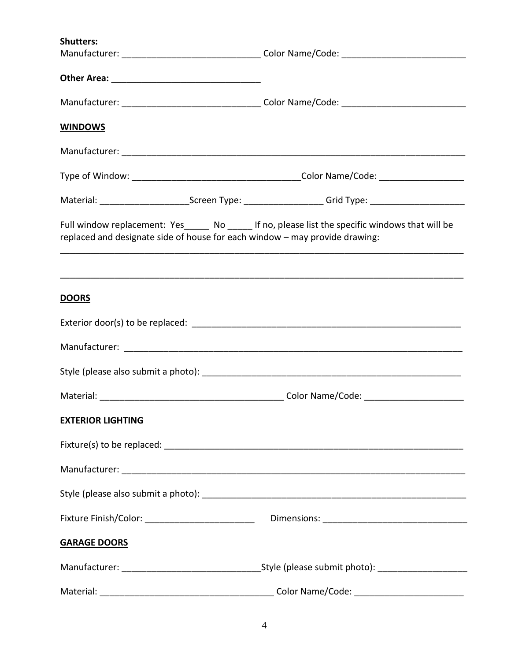| <b>Shutters:</b>                                                            |                                                                                                                |  |
|-----------------------------------------------------------------------------|----------------------------------------------------------------------------------------------------------------|--|
|                                                                             |                                                                                                                |  |
|                                                                             |                                                                                                                |  |
|                                                                             |                                                                                                                |  |
| <b>WINDOWS</b>                                                              |                                                                                                                |  |
|                                                                             |                                                                                                                |  |
|                                                                             |                                                                                                                |  |
|                                                                             | Material: _____________________________Screen Type: ____________________________Grid Type: ___________________ |  |
| replaced and designate side of house for each window - may provide drawing: | Full window replacement: Yes______ No ______ If no, please list the specific windows that will be              |  |
| <b>DOORS</b>                                                                |                                                                                                                |  |
|                                                                             |                                                                                                                |  |
|                                                                             |                                                                                                                |  |
|                                                                             |                                                                                                                |  |
|                                                                             |                                                                                                                |  |
| <b>EXTERIOR LIGHTING</b>                                                    |                                                                                                                |  |
|                                                                             |                                                                                                                |  |
|                                                                             |                                                                                                                |  |
|                                                                             |                                                                                                                |  |
| Fixture Finish/Color: __________________________                            |                                                                                                                |  |
| <b>GARAGE DOORS</b>                                                         |                                                                                                                |  |
|                                                                             |                                                                                                                |  |
|                                                                             | Color Name/Code: __________________________                                                                    |  |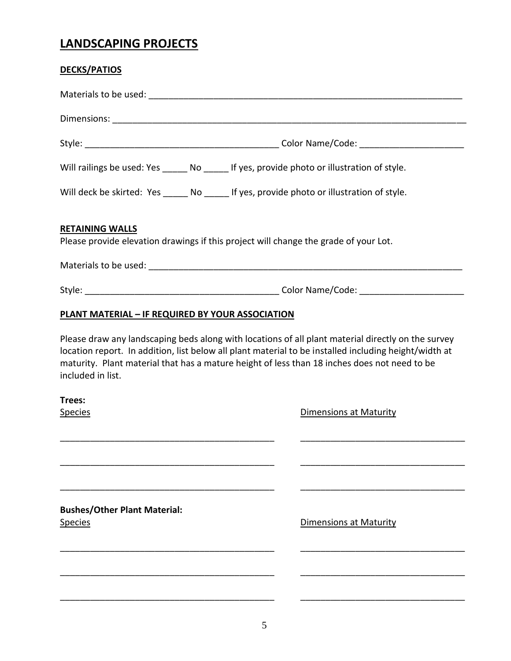## **LANDSCAPING PROJECTS**

| <b>DECKS/PATIOS</b>                                                                                            |                                                                                            |                                                                                                                                                                                                                                                                                                             |  |
|----------------------------------------------------------------------------------------------------------------|--------------------------------------------------------------------------------------------|-------------------------------------------------------------------------------------------------------------------------------------------------------------------------------------------------------------------------------------------------------------------------------------------------------------|--|
|                                                                                                                |                                                                                            |                                                                                                                                                                                                                                                                                                             |  |
|                                                                                                                |                                                                                            |                                                                                                                                                                                                                                                                                                             |  |
|                                                                                                                |                                                                                            |                                                                                                                                                                                                                                                                                                             |  |
| Will railings be used: Yes ______ No ______ If yes, provide photo or illustration of style.                    |                                                                                            |                                                                                                                                                                                                                                                                                                             |  |
|                                                                                                                | Will deck be skirted: Yes ______ No ______ If yes, provide photo or illustration of style. |                                                                                                                                                                                                                                                                                                             |  |
| <b>RETAINING WALLS</b><br>Please provide elevation drawings if this project will change the grade of your Lot. |                                                                                            |                                                                                                                                                                                                                                                                                                             |  |
|                                                                                                                |                                                                                            |                                                                                                                                                                                                                                                                                                             |  |
|                                                                                                                |                                                                                            |                                                                                                                                                                                                                                                                                                             |  |
| <b>PLANT MATERIAL - IF REQUIRED BY YOUR ASSOCIATION</b>                                                        |                                                                                            |                                                                                                                                                                                                                                                                                                             |  |
| included in list.                                                                                              |                                                                                            | Please draw any landscaping beds along with locations of all plant material directly on the survey<br>location report. In addition, list below all plant material to be installed including height/width at<br>maturity. Plant material that has a mature height of less than 18 inches does not need to be |  |
| Trees:                                                                                                         |                                                                                            |                                                                                                                                                                                                                                                                                                             |  |
| <u>Species</u>                                                                                                 |                                                                                            | <b>Dimensions at Maturity</b>                                                                                                                                                                                                                                                                               |  |
|                                                                                                                |                                                                                            |                                                                                                                                                                                                                                                                                                             |  |
|                                                                                                                |                                                                                            |                                                                                                                                                                                                                                                                                                             |  |
|                                                                                                                |                                                                                            |                                                                                                                                                                                                                                                                                                             |  |
| <b>Bushes/Other Plant Material:</b><br><u>Species</u>                                                          |                                                                                            | <b>Dimensions at Maturity</b>                                                                                                                                                                                                                                                                               |  |
|                                                                                                                |                                                                                            |                                                                                                                                                                                                                                                                                                             |  |
|                                                                                                                |                                                                                            |                                                                                                                                                                                                                                                                                                             |  |
|                                                                                                                |                                                                                            |                                                                                                                                                                                                                                                                                                             |  |